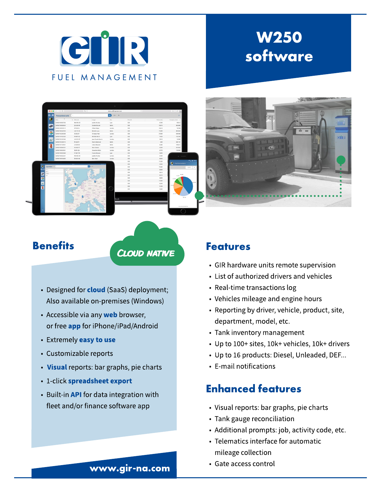

# W250 software



# **Benefits**

**CLOUD NATIVE** 

- Designed for **cloud** (SaaS) deployment; Also available on-premises(Windows)
- Accessible via any web browser, or free **app** for iPhone/iPad/Android
- Extremely easy to use
- Customizable reports
- Visual reports: bar graphs, pie charts
- 1-click spreadsheet export
- Built-in **API** for data integration with fleet and/or finance software app

#### Features

- GIR hardware units remote supervision
- List of authorized drivers and vehicles
- Real-time transactions log
- Vehicles mileage and engine hours
- Reporting by driver, vehicle, product, site, department, model, etc.
- Tank inventory management
- Up to 100+sites, 10k+vehicles, 10k+drivers
- Up to 16 products: Diesel, Unleaded, DEF...
- E-mail notifications

## Enhanced features

- Visual reports: bar graphs, pie charts
- Tank gauge reconciliation
- Additional prompts: job, activity code, etc.
- Telematics interface for automatic mileage collection
- Gate access control

#### www.gir-na.com